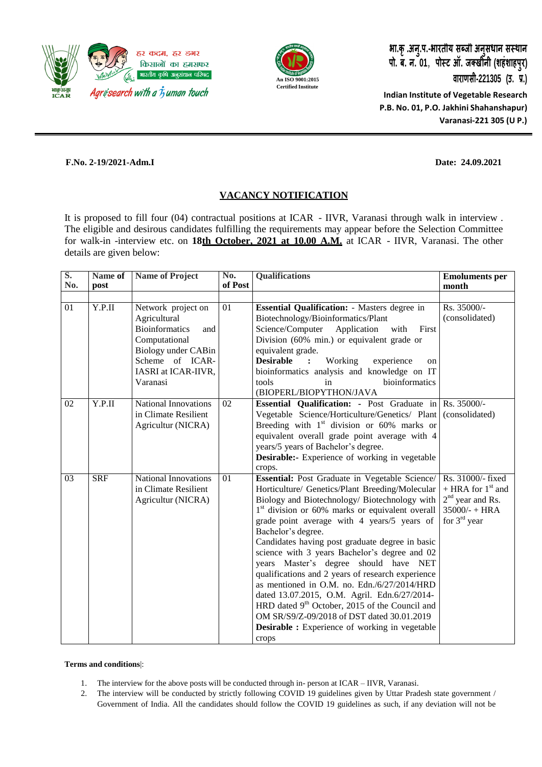



**भा.क ृ.अन ु.प.-भारतीय सब्जी अन ुसंधान संस्थान पो. ब. न. 01**, **पोस्ट ऑ. जक्खीनी (शहंशाहप ुर) वाराणसी-221305 (उ. प्र.) Indian Institute of Vegetable Research P.B. No. 01, P.O. Jakhini Shahanshapur)**

**Varanasi-221 305 (U P.)**

#### **F.No. 2-19/2021-Adm.I Date: 24.09.2021**

## **VACANCY NOTIFICATION**

It is proposed to fill four (04) contractual positions at ICAR - IIVR, Varanasi through walk in interview . The eligible and desirous candidates fulfilling the requirements may appear before the Selection Committee for walk-in -interview etc. on **18th October, 2021 at 10.00 A.M.** at ICAR - IIVR, Varanasi. The other details are given below:

| $S_{\bullet}$<br>No. | Name of<br>post | Name of Project                                                                                                                                                  | $\overline{\text{No}}$ .<br>of Post | <b>Qualifications</b>                                                                                                                                                                                                                                                                                                                                                                                                                                                                                                                                                                                                                                                                                                                                                 | <b>Emoluments per</b><br>month                                                                                |
|----------------------|-----------------|------------------------------------------------------------------------------------------------------------------------------------------------------------------|-------------------------------------|-----------------------------------------------------------------------------------------------------------------------------------------------------------------------------------------------------------------------------------------------------------------------------------------------------------------------------------------------------------------------------------------------------------------------------------------------------------------------------------------------------------------------------------------------------------------------------------------------------------------------------------------------------------------------------------------------------------------------------------------------------------------------|---------------------------------------------------------------------------------------------------------------|
|                      |                 |                                                                                                                                                                  |                                     |                                                                                                                                                                                                                                                                                                                                                                                                                                                                                                                                                                                                                                                                                                                                                                       |                                                                                                               |
| 01                   | Y.P.II          | Network project on<br>Agricultural<br><b>Bioinformatics</b><br>and<br>Computational<br>Biology under CABin<br>Scheme of ICAR-<br>IASRI at ICAR-IIVR,<br>Varanasi | 01                                  | <b>Essential Qualification:</b> - Masters degree in<br>Biotechnology/Bioinformatics/Plant<br>Science/Computer<br>Application<br>with<br>First<br>Division (60% min.) or equivalent grade or<br>equivalent grade.<br><b>Desirable</b><br>Working<br>experience<br>$\ddot{\cdot}$<br>on<br>bioinformatics analysis and knowledge on IT<br>tools<br>bioinformatics<br>in<br>(BIOPERL/BIOPYTHON/JAVA                                                                                                                                                                                                                                                                                                                                                                      | Rs. 35000/-<br>(consolidated)                                                                                 |
| 02                   | Y.P.II          | <b>National Innovations</b><br>in Climate Resilient<br>Agricultur (NICRA)                                                                                        | 02                                  | <b>Essential Qualification:</b> - Post Graduate in Rs. 35000/-<br>Vegetable Science/Horticulture/Genetics/ Plant<br>Breeding with $1st$ division or 60% marks or<br>equivalent overall grade point average with 4<br>years/5 years of Bachelor's degree.<br><b>Desirable:-</b> Experience of working in vegetable<br>crops.                                                                                                                                                                                                                                                                                                                                                                                                                                           | (consolidated)                                                                                                |
| 03                   | <b>SRF</b>      | <b>National Innovations</b><br>in Climate Resilient<br>Agricultur (NICRA)                                                                                        | 01                                  | Essential: Post Graduate in Vegetable Science/<br>Horticulture/ Genetics/Plant Breeding/Molecular<br>Biology and Biotechnology/ Biotechnology with<br>1 <sup>st</sup> division or 60% marks or equivalent overall<br>grade point average with 4 years/5 years of<br>Bachelor's degree.<br>Candidates having post graduate degree in basic<br>science with 3 years Bachelor's degree and 02<br>years Master's degree should have NET<br>qualifications and 2 years of research experience<br>as mentioned in O.M. no. Edn./6/27/2014/HRD<br>dated 13.07.2015, O.M. Agril. Edn.6/27/2014-<br>HRD dated 9 <sup>th</sup> October, 2015 of the Council and<br>OM SR/S9/Z-09/2018 of DST dated 30.01.2019<br><b>Desirable :</b> Experience of working in vegetable<br>crops | Rs. 31000/- fixed<br>+ HRA for $1st$ and<br>$2nd$ year and Rs.<br>$35000/- + HRA$<br>for 3 <sup>rd</sup> year |

#### **Terms and conditions**|:

- 1. The interview for the above posts will be conducted through in- person at ICAR IIVR, Varanasi.
- 2. The interview will be conducted by strictly following COVID 19 guidelines given by Uttar Pradesh state government / Government of India. All the candidates should follow the COVID 19 guidelines as such, if any deviation will not be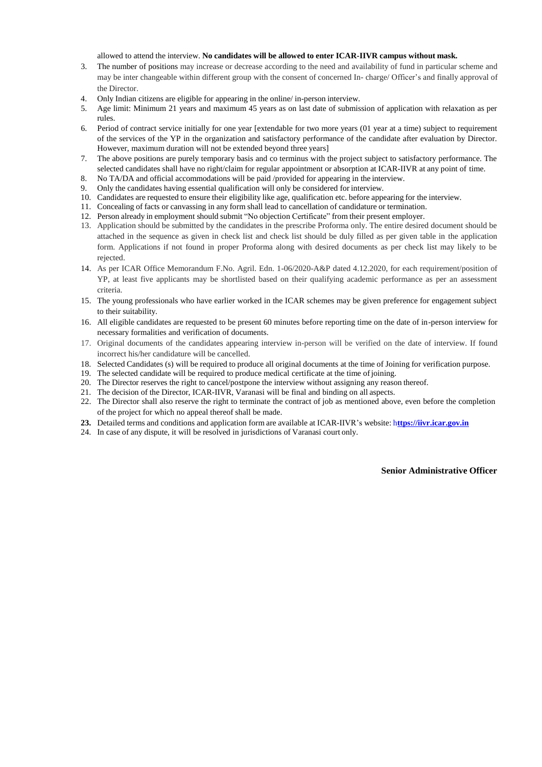allowed to attend the interview. **No candidates will be allowed to enter ICAR-IIVR campus without mask.**

- 3. The number of positions may increase or decrease according to the need and availability of fund in particular scheme and may be inter changeable within different group with the consent of concerned In- charge/ Officer's and finally approval of the Director.
- 4. Only Indian citizens are eligible for appearing in the online/ in-person interview.
- 5. Age limit: Minimum 21 years and maximum 45 years as on last date of submission of application with relaxation as per rules.
- 6. Period of contract service initially for one year [extendable for two more years (01 year at a time) subject to requirement of the services of the YP in the organization and satisfactory performance of the candidate after evaluation by Director. However, maximum duration will not be extended beyond three years]
- 7. The above positions are purely temporary basis and co terminus with the project subject to satisfactory performance. The selected candidates shall have no right/claim for regular appointment or absorption at ICAR-IIVR at any point of time.
- 8. No TA/DA and official accommodations will be paid /provided for appearing in the interview.
- 9. Only the candidates having essential qualification will only be considered for interview.
- 10. Candidates are requested to ensure their eligibility like age, qualification etc. before appearing for the interview.
- 11. Concealing of facts or canvassing in any form shall lead to cancellation of candidature or termination.
- 12. Person already in employment should submit "No objection Certificate" from their present employer.
- 13. Application should be submitted by the candidates in the prescribe Proforma only. The entire desired document should be attached in the sequence as given in check list and check list should be duly filled as per given table in the application form. Applications if not found in proper Proforma along with desired documents as per check list may likely to be rejected.
- 14. As per ICAR Office Memorandum F.No. Agril. Edn. 1-06/2020-A&P dated 4.12.2020, for each requirement/position of YP, at least five applicants may be shortlisted based on their qualifying academic performance as per an assessment criteria.
- 15. The young professionals who have earlier worked in the ICAR schemes may be given preference for engagement subject to their suitability.
- 16. All eligible candidates are requested to be present 60 minutes before reporting time on the date of in-person interview for necessary formalities and verification of documents.
- 17. Original documents of the candidates appearing interview in-person will be verified on the date of interview. If found incorrect his/her candidature will be cancelled.
- 18. Selected Candidates (s) will be required to produce all original documents at the time of Joining for verification purpose.
- 19. The selected candidate will be required to produce medical certificate at the time ofjoining.
- 20. The Director reserves the right to cancel/postpone the interview without assigning any reason thereof.
- 21. The decision of the Director, ICAR-IIVR, Varanasi will be final and binding on all aspects.
- 22. The Director shall also reserve the right to terminate the contract of job as mentioned above, even before the completion of the project for which no appeal thereof shall be made.
- **23.** Detailed terms and conditions and application form are available at ICAR-IIVR's website: h**ttps://iivr.icar.gov.in**
- 24. In case of any dispute, it will be resolved in jurisdictions of Varanasi court only.

**Senior Administrative Officer**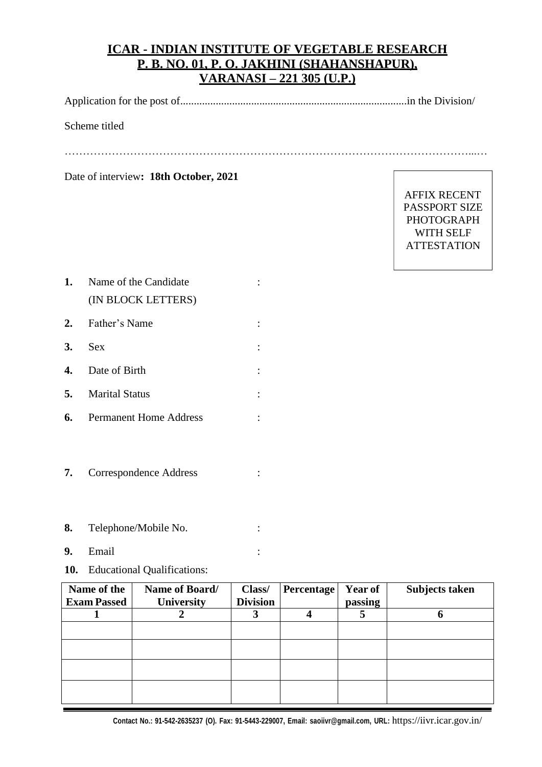# **ICAR - INDIAN INSTITUTE OF VEGETABLE RESEARCH P. B. NO. 01, P. O. JAKHINI (SHAHANSHAPUR), VARANASI – 221 305 (U.P.)**

Application for the post of...................................................................................in the Division/

### Scheme titled

…………………………………………………………………………………………………...…

Date of interview**: 18th October, 2021**

AFFIX RECENT PASSPORT SIZE PHOTOGRAPH WITH SELF **ATTESTATION** 

- **1.** Name of the Candidate : (IN BLOCK LETTERS)
- **2.** Father's Name :
- **3.** Sex :
- **4.** Date of Birth :
- **5.** Marital Status :
- **6.** Permanent Home Address :
- **7.** Correspondence Address :
- **8.** Telephone/Mobile No. :
- **9.** Email :
- **10.** Educational Qualifications:

| Name of the<br><b>Exam Passed</b> | Name of Board/<br><b>University</b> | Class/<br><b>Division</b> | <b>Percentage</b> | <b>Year of</b><br>passing | Subjects taken |
|-----------------------------------|-------------------------------------|---------------------------|-------------------|---------------------------|----------------|
|                                   |                                     |                           |                   |                           |                |
|                                   |                                     |                           |                   |                           |                |
|                                   |                                     |                           |                   |                           |                |
|                                   |                                     |                           |                   |                           |                |
|                                   |                                     |                           |                   |                           |                |
|                                   |                                     |                           |                   |                           |                |
|                                   |                                     |                           |                   |                           |                |